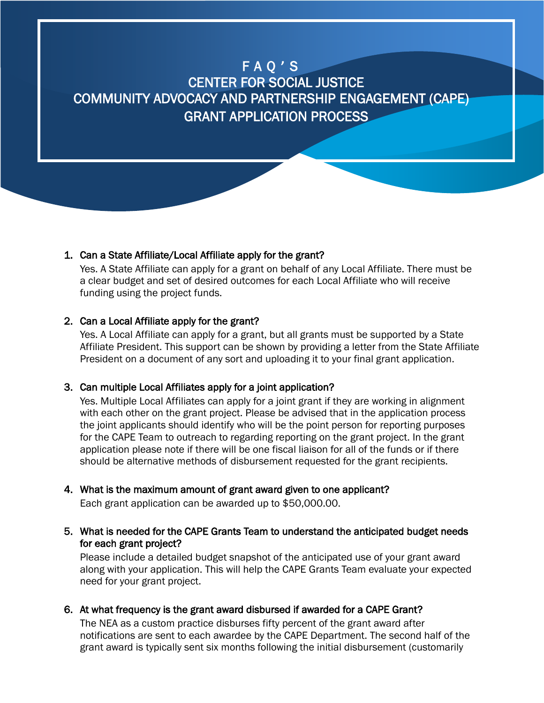# F A Q **'** S

## CENTER FOR SOCIAL JUSTICE COMMUNITY ADVOCACY AND PARTNERSHIP ENGAGEMENT (CAPE) GRANT APPLICATION PROCESS

## 1. Can a State Affiliate/Local Affiliate apply for the grant?

Yes. A State Affiliate can apply for a grant on behalf of any Local Affiliate. There must be a clear budget and set of desired outcomes for each Local Affiliate who will receive funding using the project funds.

## 2. Can a Local Affiliate apply for the grant?

Yes. A Local Affiliate can apply for a grant, but all grants must be supported by a State Affiliate President. This support can be shown by providing a letter from the State Affiliate President on a document of any sort and uploading it to your final grant application.

#### 3. Can multiple Local Affiliates apply for a joint application?

Yes. Multiple Local Affiliates can apply for a joint grant if they are working in alignment with each other on the grant project. Please be advised that in the application process the joint applicants should identify who will be the point person for reporting purposes for the CAPE Team to outreach to regarding reporting on the grant project. In the grant application please note if there will be one fiscal liaison for all of the funds or if there should be alternative methods of disbursement requested for the grant recipients.

#### 4. What is the maximum amount of grant award given to one applicant?

Each grant application can be awarded up to \$50,000.00.

## 5. What is needed for the CAPE Grants Team to understand the anticipated budget needs for each grant project?

Please include a detailed budget snapshot of the anticipated use of your grant award along with your application. This will help the CAPE Grants Team evaluate your expected need for your grant project.

## 6. At what frequency is the grant award disbursed if awarded for a CAPE Grant?

The NEA as a custom practice disburses fifty percent of the grant award after notifications are sent to each awardee by the CAPE Department. The second half of the grant award is typically sent six months following the initial disbursement (customarily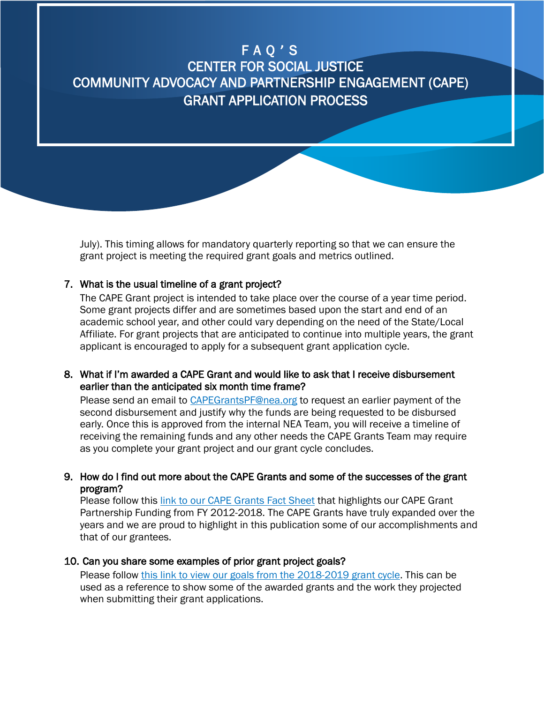## F A Q **'** S CENTER FOR SOCIAL JUSTICE COMMUNITY ADVOCACY AND PARTNERSHIP ENGAGEMENT (CAPE) GRANT APPLICATION PROCESS

July). This timing allows for mandatory quarterly reporting so that we can ensure the grant project is meeting the required grant goals and metrics outlined.

## 7. What is the usual timeline of a grant project?

The CAPE Grant project is intended to take place over the course of a year time period. Some grant projects differ and are sometimes based upon the start and end of an academic school year, and other could vary depending on the need of the State/Local Affiliate. For grant projects that are anticipated to continue into multiple years, the grant applicant is encouraged to apply for a subsequent grant application cycle.

#### 8. What if I'm awarded a CAPE Grant and would like to ask that I receive disbursement earlier than the anticipated six month time frame?

Please send an email to [CAPEGrantsPF@nea.org](mailto:CAPEGrantsPF@nea.org) to request an earlier payment of the second disbursement and justify why the funds are being requested to be disbursed early. Once this is approved from the internal NEA Team, you will receive a timeline of receiving the remaining funds and any other needs the CAPE Grants Team may require as you complete your grant project and our grant cycle concludes.

#### 9. How do I find out more about the CAPE Grants and some of the successes of the grant program?

Please follow this [link to our CAPE Grants Fact Sheet](http://www.nea.org/assets/docs/CAPE%20Grants%20Fact%20Sheet%20(4.22.19).pdf) that highlights our CAPE Grant Partnership Funding from FY 2012-2018. The CAPE Grants have truly expanded over the years and we are proud to highlight in this publication some of our accomplishments and that of our grantees.

#### 10. Can you share some examples of prior grant project goals?

Please follow this link to view [our goals from the 2018-2019 grant cycle.](http://www.nea.org/assets/docs/CAPE%20Grant%20Goals.pdf) This can be used as a reference to show some of the awarded grants and the work they projected when submitting their grant applications.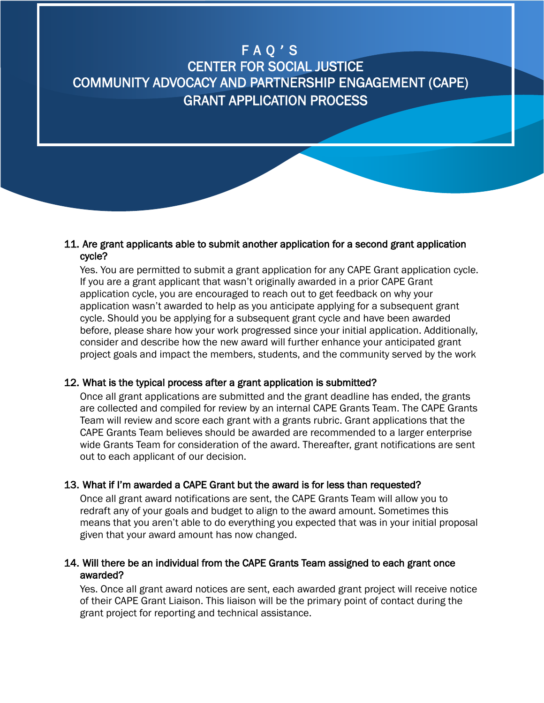## F A Q **'** S CENTER FOR SOCIAL JUSTICE COMMUNITY ADVOCACY AND PARTNERSHIP ENGAGEMENT (CAPE) GRANT APPLICATION PROCESS

## 11. Are grant applicants able to submit another application for a second grant application cycle?

Yes. You are permitted to submit a grant application for any CAPE Grant application cycle. If you are a grant applicant that wasn't originally awarded in a prior CAPE Grant application cycle, you are encouraged to reach out to get feedback on why your application wasn't awarded to help as you anticipate applying for a subsequent grant cycle. Should you be applying for a subsequent grant cycle and have been awarded before, please share how your work progressed since your initial application. Additionally, consider and describe how the new award will further enhance your anticipated grant project goals and impact the members, students, and the community served by the work

## 12. What is the typical process after a grant application is submitted?

Once all grant applications are submitted and the grant deadline has ended, the grants are collected and compiled for review by an internal CAPE Grants Team. The CAPE Grants Team will review and score each grant with a grants rubric. Grant applications that the CAPE Grants Team believes should be awarded are recommended to a larger enterprise wide Grants Team for consideration of the award. Thereafter, grant notifications are sent out to each applicant of our decision.

## 13. What if I'm awarded a CAPE Grant but the award is for less than requested?

Once all grant award notifications are sent, the CAPE Grants Team will allow you to redraft any of your goals and budget to align to the award amount. Sometimes this means that you aren't able to do everything you expected that was in your initial proposal given that your award amount has now changed.

## 14. Will there be an individual from the CAPE Grants Team assigned to each grant once awarded?

Yes. Once all grant award notices are sent, each awarded grant project will receive notice of their CAPE Grant Liaison. This liaison will be the primary point of contact during the grant project for reporting and technical assistance.